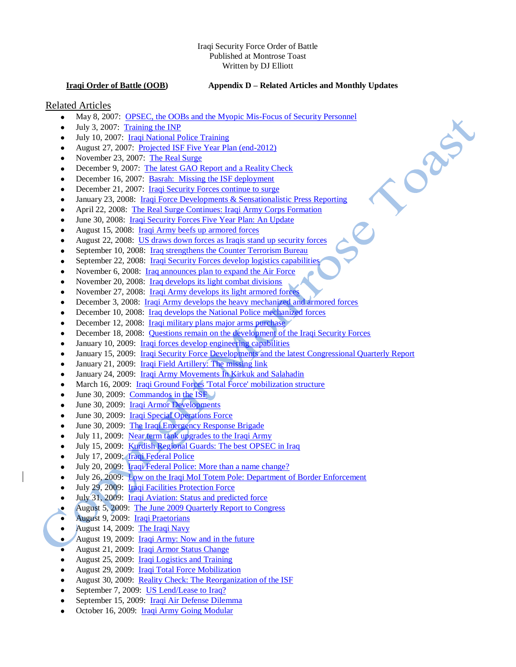#### Iraqi Security Force Order of Battle Published at Montrose Toast Written by DJ Elliott

### **Iraqi Order of Battle (OOB) Appendix D – Related Articles and Monthly Updates**

Canal

## Related Articles

- May 8, 2007: [OPSEC, the OOBs and the Myopic Mis-Focus of Security Personnel](http://billroggio.com/archives/2007/05/opsec_the_oobs_and_t.php)  $\bullet$
- July 3, 2007: [Training the INP](http://billroggio.com/archives/2007/07/iraqi_national_polic.php)  $\bullet$
- July 10, 2007: [Iraqi National Police Training](http://billroggio.com/archives/2007/07/iraqi_national_polic_1.php)   $\bullet$
- August 27, 2007: [Projected ISF Five Year Plan \(end-2012\)](http://billroggio.com/archives/2007/08/projected_isf_five_y.php)  $\bullet$
- November 23, 2007: [The Real Surge](http://www.longwarjournal.org/archives/2007/11/the_real_surge.php)
- December 9, 2007: [The latest GAO Report and a Reality Check](http://www.longwarjournal.org/archives/2007/12/the_latest_gao_repor.php)
- December 16, 2007: [Basrah: Missing the ISF deployment](http://www.longwarjournal.org/archives/2007/12/basrah_the_untold_st.php)  $\bullet$
- December 21, 2007: *[Iraqi Security Forces continue to surge](http://www.longwarjournal.org/archives/2007/12/measuring_security_a.php)*
- January 23, 2008: [Iraqi Force Developments & Sensationalistic Press Reporting](http://www.longwarjournal.org/archives/2008/01/iraqi_force_developm.php)
- April 22, 2008: [The Real Surge Continues: Iraqi Army Corps Formation](http://www.longwarjournal.org/archives/2008/04/the_real_surge_conti.php)
- June 30, 2008: [Iraqi Security Forces Five Year Plan: An Update](http://www.longwarjournal.org/archives/2008/06/projected_isf_five_y_1.php)
- August 15, 2008: [Iraqi Army beefs up armored forces](http://www.longwarjournal.org/archives/2008/08/potential_iraqi_army.php)
- August 22, 2008: [US draws down forces as Iraqis stand up security forces](http://www.longwarjournal.org/archives/2008/08/iraqis_standing_up.php)
- September 10, 2008: *[Iraq strengthens the Counter Terrorism Bureau](http://www.longwarjournal.org/archives/2008/09/the_iraqi_counter_te.php)*  $\bullet$
- September 22, 2008: [Iraqi Security Forces develop logistics capabilities](http://www.longwarjournal.org/archives/2008/09/iraqi_security_force_19.php)
- November 6, 2008: [Iraq announces plan to expand the Air Force](http://www.longwarjournal.org/archives/2008/11/plans_for_iraqi_air.php)
- November 20, 2008: [Iraq develops its light combat divisions](http://www.longwarjournal.org/archives/2008/11/iraqi_light_division.php)  $\bullet$
- November 27, 2008: [Iraqi Army develops its light armored forces](http://www.longwarjournal.org/archives/2008/11/iraqi_army_planned_l.php)
- December 3, 2008: [Iraqi Army develops the heavy mechanized and armored forces](http://www.longwarjournal.org/archives/2008/12/iraqi_army_heavy_mec.php)
- December 10, 2008: [Iraq develops the National Police mechanized forces](http://www.longwarjournal.org/archives/2008/12/iraqi_national_polic_2.php)
- December 12, 2008: [Iraqi military plans major arms purchase](•%09http:/www.longwarjournal.org/archives/2008/12/iraqi_plans_to_order.php)  $\bullet$
- December 18, 2008: [Questions remain on the development of the Iraqi Security Forces](http://www.longwarjournal.org/archives/2008/12/what_we_dont_know_ab.php)
- January 10, 2009: [Iraqi forces develop engineering capabilities](http://www.longwarjournal.org/archives/2009/01/iraqi_engineering_fo.php)
- January 15, 2009: *[Iraqi Security Force Developments and the latest Congressional Quarterly Report](http://www.longwarjournal.org/archives/2009/01/iraqi_security_force_24.php)*
- January 21, 2009: *[Iraqi Field Artillery: The missing link](http://www.longwarjournal.org/archives/2009/01/iraqi_field_artiller.php)*
- January 24, 2009: [Iraqi Army Movements In Kirkuk and Salahadin](http://www.longwarjournal.org/archives/2009/01/iraqi_army_movements.php)
- March 16, 2009: [Iraqi Ground Forces 'Total Force' mobilization structure](http://www.longwarjournal.org/archives/2009/03/iraqi_ground_forces.php)
- June 30, 2009: [Commandos in the ISF](http://home.comcast.net/~djyae/site/?/blog/view/2/)  $\bullet$
- June 30, 2009: [Iraqi Armor Developments](http://home.comcast.net/~djyae/site/?/blog/view/3/)
- June 30, 2009: [Iraqi Special Operations Force](http://home.comcast.net/~djyae/site/?/blog/view/4/)
- June 30, 2009: [The Iraqi Emergency Response Brigade](http://home.comcast.net/~djyae/site/?/blog/view/5/)
- July 11, 2009: Near term tank upgrades to the Iraqi Army
- July 15, 2009: [Kurdish Regional Guards: The best OPSEC in Iraq](http://home.comcast.net/~djyae/site/?/blog/view/12/)
- July 17, 2009: [Iraqi Federal Police](http://home.comcast.net/~djyae/site/?/blog/view/13/)   $\bullet$
- July 20, 2009: [Iraqi Federal Police: More than a name change?](http://home.comcast.net/~djyae/site/?/blog/view/14/)
- July 26, 2009: Low on the Iraqi MoI Totem Pole: Department of Border Enforcement  $\bullet$
- July 29, 2009: [Iraqi Facilities Protection Force](http://home.comcast.net/~djyae/site/?/blog/view/17/)
- July 31, 2009: [Iraqi Aviation: Status and predicted force](http://home.comcast.net/~djyae/site/?/blog/view/18/)
- August 5, 2009: [The June 2009 Quarterly Report to Congress](http://home.comcast.net/~djyae/site/?/blog/view/21/)
- August 9, 2009: [Iraqi Praetorians](http://home.comcast.net/~djyae/site/?/blog/view/22/)
- August 14, 2009: [The Iraqi Navy](http://home.comcast.net/~djyae/site/?/blog/view/23/)
- August 19, 2009: *Iraqi Army: Now and in the future*
- August 21, 2009: [Iraqi Armor Status Change](http://home.comcast.net/~djyae/site/?/blog/view/25/)
- August 25, 2009: *Iraqi Logistics and Training*
- August 29, 2009: [Iraqi Total Force Mobilization](http://home.comcast.net/~djyae/site/?/blog/view/27/)
- August 30, 2009: [Reality Check: The Reorganization of the ISF](http://home.comcast.net/~djyae/site/?/blog/view/28/)
- September 7, 2009: [US Lend/Lease to Iraq?](http://home.comcast.net/~djyae/site/?/blog/view/30/)
- September 15, 2009: [Iraqi Air Defense Dilemma](http://home.comcast.net/~djyae/site/?/blog/view/31/)
- October 16, 2009: *Iraqi Army Going Modular*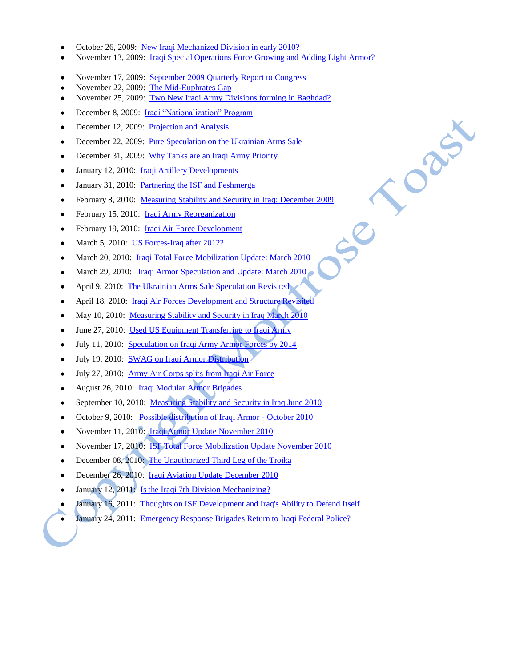- October 26, 2009: [New Iraqi Mechanized Division in early 2010?](http://home.comcast.net/~djyae/site/?/blog/view/34/)
- November 13, 2009: [Iraqi Special Operations Force Growing and Adding Light Armor?](http://home.comcast.net/~djyae/site/?/blog/view/36/)

Cabi

- November 17, 2009: [September 2009 Quarterly Report to Congress](http://home.comcast.net/~djyae/site/?/blog/view/37/)
- November 22, 2009: [The Mid-Euphrates Gap](http://home.comcast.net/~djyae/site/?/blog/view/38/)
- November 25, 2009: [Two New Iraqi Army Divisions forming in Baghdad?](http://home.comcast.net/~djyae/site/?/blog/view/39/)
- December 8, 2009: [Iraqi "Nationalization" Program](http://home.comcast.net/~djyae/site/?/blog/view/43/)
- December 12, 2009: [Projection and Analysis](http://home.comcast.net/~djyae/site/?/blog/view/44/)
- December 22, 2009: [Pure Speculation on the Ukrainian Arms Sale](http://home.comcast.net/~djyae/site/?/blog/view/45/)   $\bullet$
- December 31, 2009: [Why Tanks are an Iraqi Army Priority](http://home.comcast.net/~djyae/site/?/blog/view/46/)
- January 12, 2010: *Iraqi Artillery Developments*  $\bullet$
- January 31, 2010: Partnering the ISF and Peshmerga
- February 8, 2010: [Measuring Stability and Security in Iraq: December 2009](http://home.comcast.net/~djyae/site/?/blog/view/51/)
- February 15, 2010: *Iraqi Army Reorganization*
- February 19, 2010: [Iraqi Air Force Development](http://home.comcast.net/~djyae/site/?/blog/view/53/)   $\bullet$
- March 5, 2010: US Forces-Iraq after 2012?  $\bullet$
- March 20, 2010: [Iraqi Total Force Mobilization Update: March 2010](http://home.comcast.net/~djyae/site/?/blog/view/56/)
- March 29, 2010: Iraqi Armor Speculation and Update: March 2010
- April 9, 2010: [The Ukrainian Arms Sale Speculation Revisited](http://home.comcast.net/~djyae/site/?/blog/view/59/)
- April 18, 2010: Iraqi Air Forces Development and Structure Revisited
- May 10, 2010: [Measuring Stability and Security in Iraq March 2010](http://home.comcast.net/~djyae/site/?/blog/view/62/)
- June 27, 2010: Used US Equipment Transferring to Iraqi Army
- July 11, 2010: [Speculation on Iraqi Army Armor Forces by 2014](http://home.comcast.net/~djyae/site/?/blog/view/66/)
- July 19, 2010: [SWAG on Iraqi Armor Distribution](http://home.comcast.net/~djyae/site/?/blog/view/67/)  $\bullet$
- July 27, 2010: [Army Air Corps splits from Iraqi Air Force](http://home.comcast.net/~djyae/site/?/blog/view/68/)
- August 26, 2010: [Iraqi Modular Armor Brigades](http://home.comcast.net/~djyae/site/?/blog/view/70/)   $\bullet$
- September 10, 2010: [Measuring Stability and Security in Iraq June 2010](http://home.comcast.net/~djyae/site/?/blog/view/72/)
- October 9, 2010: [Possible distribution of Iraqi Armor -](http://home.comcast.net/~djyae/site/?/blog/view/74/) October 2010  $\bullet$
- November 11, 2010: [Iraqi Armor Update November 2010](http://home.comcast.net/~djyae/site/?/blog/view/76/)
- November 17, 2010: [ISF Total Force Mobilization Update November 2010](http://home.comcast.net/~djyae/site/?/blog/view/77/)
- December 08, 2010: [The Unauthorized Third Leg of the Troika](http://home.comcast.net/~djyae/site/?/blog/view/80/)
- December 26, 2010: [Iraqi Aviation Update December 2010](http://home.comcast.net/~djyae/site/?/blog/view/81/)
- January 12, 2011: Is the Iraqi 7th Division Mechanizing?
- January 16, 2011: [Thoughts on ISF Development and Iraq's Ability to Defend Itself](http://home.comcast.net/~djyae/site/?/blog/view/84/)
- January 24, 2011: [Emergency Response Brigades Return to Iraqi Federal Police?](http://home.comcast.net/~djyae/site/?/blog/view/85/)